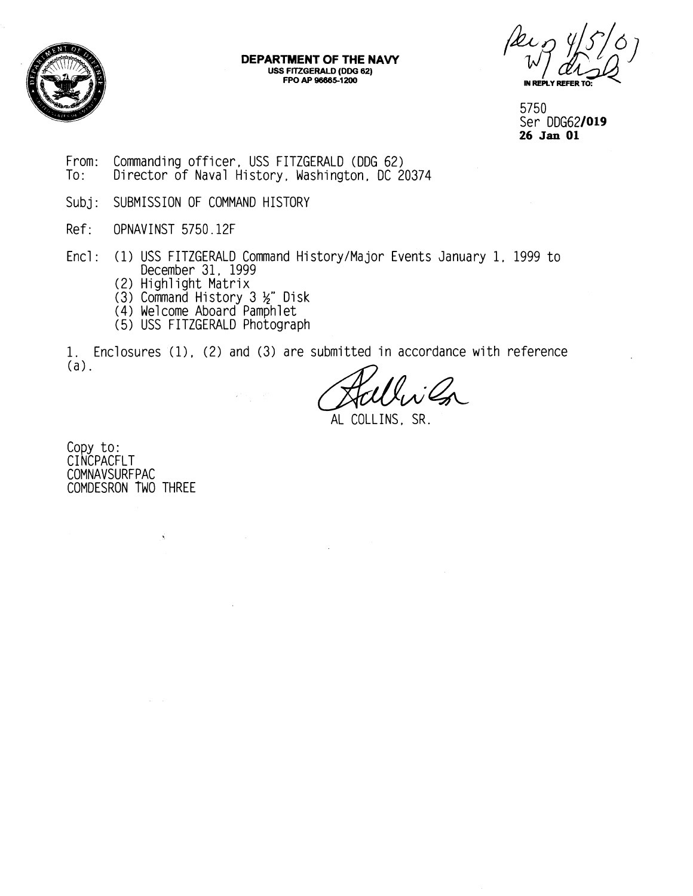

## **DEPARTMENT OF THE NAW USS FITZGERALD (DDG 62) FPO AP -5-12W**

Per 9 15/07 **IN REPLY REFER** 

5750 Ser DDG621019 **26 Jan** 01

- From: Commanding officer, USS FITZGERALD (DDG 62)<br>To: Director of Naval History, Washington, DC 2 Director of Naval History, Washington, DC 20374
- Subj: SUBMISSION OF COMMAND HISTORY
- Ref: OPNAVINST 5750.12F
- Encl: (1) USS FITZGERALD Command History/Major Events January 1, 1999 to December 31, 1999
	- (2) High1 ight Matrix
	- (3) Command History 3 %" Disk
	- (4) We1 come Aboard Pamphl et
	- (5) USS FITZGERALD Photograph

1. Enclosures (1), (2) and (3) are submitted in accordance with reference (a).

 $\mathcal{L}$ 

AL COLLINS. SR.

Copy to: CI NCPACFLT COMNAVSURFPAC COMDESRON TWO THREE

 $\hat{S}$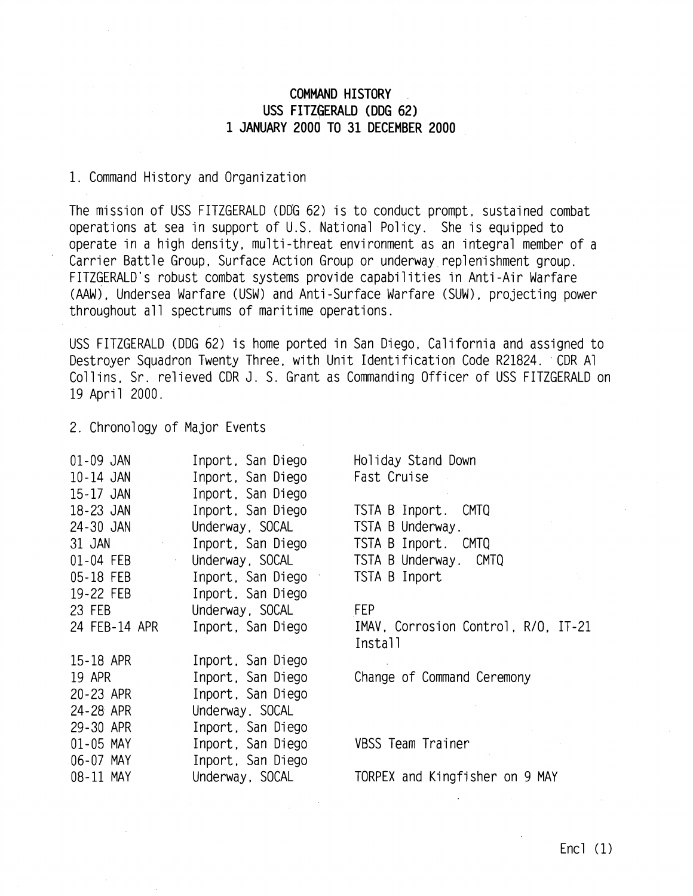## **COMMAND HISTORY USS FITZGERALD (DDG 62) 1 JANUARY 2000 TO 31 DECEMBER 2000**

## 1. Command History and Organization

The mission of USS FITZGERALD (DDG 62) is to conduct prompt, sustained combat operations at sea in support of U.S. National Policy. She is equipped to operate in a high density, multi-threat environment as an integral member of a Carrier Battle Group, Surface Action Group or underway replenishment group. FITZGERALD's robust combat systems provide capabilities in Anti-Air Warfare (AAW) , Undersea Warfare (USW) and Anti -Surface Warfare (SUW) , projecting power throughout all spectrums of maritime operations.

USS FITZGERALD (DDG 62) is home ported in San Diego, California and assigned to Destroyer Squadron Twenty Three, with Unit Identification Code R21824. CDR A1 Coll ins, Sr. re1 ieved CDR J. S. Grant as Commanding Officer of USS FITZGERALD on 19 April 2000.

2. Chronology of Major Events

| 01-09 JAN               | Inport, San Diego | Holiday Stand Down                             |
|-------------------------|-------------------|------------------------------------------------|
| 10-14 JAN               | Inport, San Diego | Fast Cruise                                    |
| 15-17 JAN               | Inport, San Diego |                                                |
| 18-23 JAN               | Inport, San Diego | TSTA B Inport.<br>CMTQ                         |
| 24-30 JAN               | Underway, SOCAL   | TSTA B Underway.                               |
| 31 JAN<br>$\gamma$      | Inport, San Diego | TSTA B Inport. CMTQ                            |
| 01-04 FEB<br>$\epsilon$ | Underway, SOCAL   | TSTA B Underway. CMTQ                          |
| 05-18 FEB               | Inport, San Diego | TSTA B Inport                                  |
| 19-22 FEB               | Inport, San Diego |                                                |
| 23 FEB                  | Underway, SOCAL   | FEP                                            |
| 24 FEB-14 APR           | Inport, San Diego | IMAV, Corrosion Control, R/O, IT-21<br>Install |
| 15-18 APR               | Inport, San Diego |                                                |
| 19 APR                  | Inport, San Diego | Change of Command Ceremony                     |
| 20-23 APR               | Inport, San Diego |                                                |
| 24-28 APR               | Underway, SOCAL   |                                                |
| 29-30 APR               | Inport, San Diego |                                                |
| 01-05 MAY               | Inport, San Diego | VBSS Team Trainer                              |
| 06-07 MAY               | Inport, San Diego |                                                |
| 08-11 MAY               | Underway, SOCAL   | TORPEX and Kingfisher on 9 MAY                 |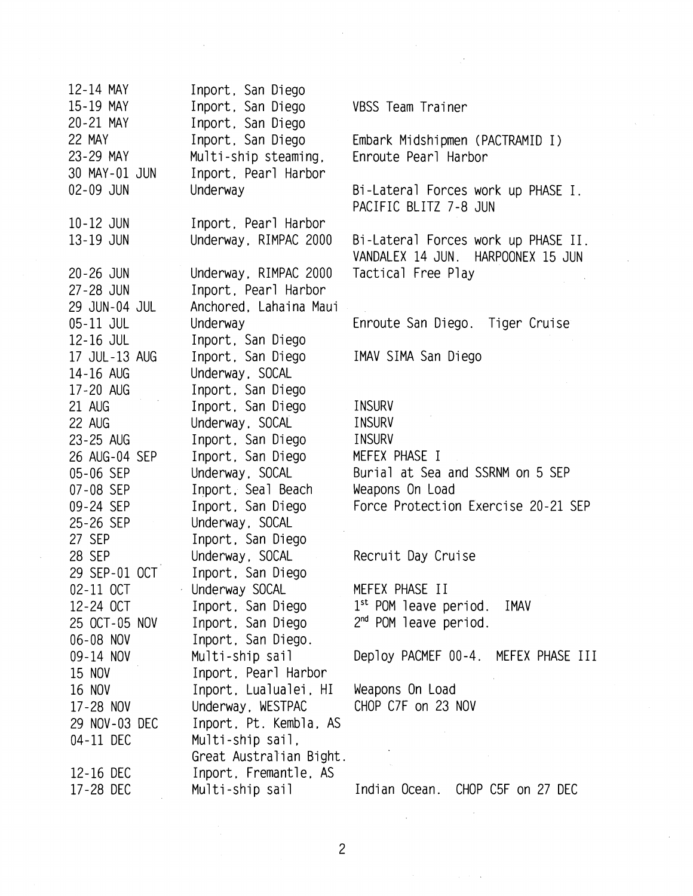| 12-14 MAY     | Inport, San Diego       |                                     |
|---------------|-------------------------|-------------------------------------|
| 15-19 MAY     | Inport, San Diego       | VBSS Team Trainer                   |
| 20-21 MAY     | Inport, San Diego       |                                     |
| 22 MAY        | Inport, San Diego       | Embark Midshipmen (PACTRAMID I)     |
| 23-29 MAY     | Multi-ship steaming,    | Enroute Pearl Harbor                |
| 30 MAY-01 JUN | Inport, Pearl Harbor    |                                     |
| 02-09 JUN     | Underway                | Bi-Lateral Forces work up PHASE I.  |
|               |                         | PACIFIC BLITZ 7-8 JUN               |
| 10-12 JUN     | Inport, Pearl Harbor    |                                     |
| 13-19 JUN     | Underway, RIMPAC 2000   | Bi-Lateral Forces work up PHASE II. |
|               |                         | VANDALEX 14 JUN. HARPOONEX 15 JUN   |
| $20 - 26$ JUN | Underway, RIMPAC 2000   | Tactical Free Play                  |
| 27-28 JUN     | Inport, Pearl Harbor    |                                     |
| 29 JUN-04 JUL | Anchored, Lahaina Maui  |                                     |
| 05-11 JUL     | Underway                | Enroute San Diego. Tiger Cruise     |
| 12-16 JUL     | Inport, San Diego       |                                     |
| 17 JUL-13 AUG | Inport, San Diego       | IMAV SIMA San Diego                 |
| 14-16 AUG     | Underway, SOCAL         |                                     |
| 17-20 AUG     | Inport, San Diego       |                                     |
| 21 AUG        | Inport, San Diego       | <b>INSURV</b>                       |
| 22 AUG        | Underway, SOCAL         | <b>INSURV</b>                       |
| 23-25 AUG     | Inport, San Diego       | INSURV                              |
| 26 AUG-04 SEP | Inport, San Diego       | MEFEX PHASE I                       |
| 05-06 SEP     | Underway, SOCAL         | Burial at Sea and SSRNM on 5 SEP    |
| 07-08 SEP     | Inport, Seal Beach      | Weapons On Load                     |
| 09-24 SEP     | Inport, San Diego       | Force Protection Exercise 20-21 SEP |
| 25-26 SEP     | Underway, SOCAL         |                                     |
| 27 SEP        | Inport, San Diego       |                                     |
| 28 SEP        | Underway, SOCAL         | Recruit Day Cruise                  |
| 29 SEP-01 OCT | Inport, San Diego       |                                     |
| 02-11 OCT     | Underway SOCAL          | MEFEX PHASE II                      |
| 12-24 OCT     | Inport, San Diego       | $1st$ POM leave period.<br>IMAV     |
| 25 OCT-05 NOV | Inport, San Diego       | $2nd$ POM leave period.             |
| 06-08 NOV     | Inport, San Diego.      |                                     |
| 09-14 NOV     | Multi-ship sail         | Deploy PACMEF 00-4. MEFEX PHASE III |
| 15 NOV        | Inport, Pearl Harbor    |                                     |
| 16 NOV        |                         | Weapons On Load                     |
|               | Inport, Lualualei, HI   | CHOP C7F on 23 NOV                  |
| 17-28 NOV     | Underway, WESTPAC       |                                     |
| 29 NOV-03 DEC | Inport, Pt. Kembla, AS  |                                     |
| 04-11 DEC     | Multi-ship sail,        |                                     |
|               | Great Australian Bight. |                                     |
| 12-16 DEC     | Inport, Fremantle, AS   |                                     |
| 17-28 DEC     | Multi-ship sail         | Indian Ocean. CHOP C5F on 27 DEC    |

 $\hat{\mathcal{A}}$ 

 $\label{eq:2.1} \frac{1}{\sqrt{2}}\left(\frac{1}{\sqrt{2}}\right)^{2} \left(\frac{1}{\sqrt{2}}\right)^{2} \left(\frac{1}{\sqrt{2}}\right)^{2} \left(\frac{1}{\sqrt{2}}\right)^{2} \left(\frac{1}{\sqrt{2}}\right)^{2} \left(\frac{1}{\sqrt{2}}\right)^{2} \left(\frac{1}{\sqrt{2}}\right)^{2} \left(\frac{1}{\sqrt{2}}\right)^{2} \left(\frac{1}{\sqrt{2}}\right)^{2} \left(\frac{1}{\sqrt{2}}\right)^{2} \left(\frac{1}{\sqrt{2}}\right)^{2} \left(\$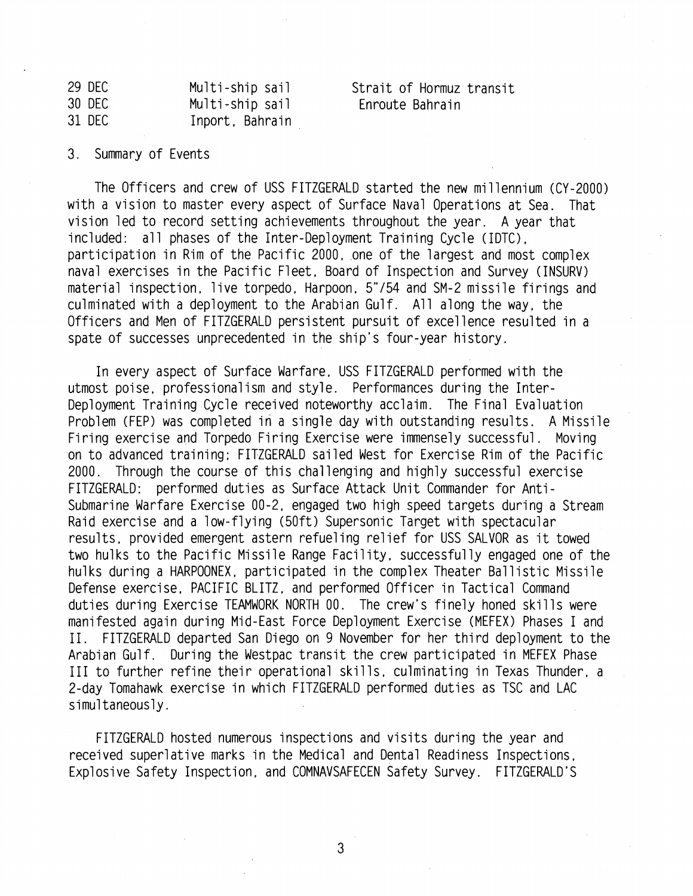| 29 DEC | Multi-ship sail |
|--------|-----------------|
| 30 DEC | Multi-ship sail |
| 31 DEC | Inport, Bahrain |

Strait of Hormuz transit Enroute Bahrain

## 3. Summary of Events

The Officers and crew of USS FITZGERALD started the new millennium (CY-2000) with a vision to master every aspect of Surface Naval Operations at Sea. That vision led to record setting achievements throughout the year. A year that included: all phases of the Inter-Deployment Training Cycle (IDTC). participation in Rim of the Pacific 2000, one of the largest and most complex naval exercises in the Pacific Fleet, Board of Inspection and Survey (INSURV) material inspection, live torpedo, Harpoon, 5"/54 and SM-2 missile firings and culminated with a deployment to the Arabian Gulf. All along the way, the Officers and Men of FITZGERALD persistent pursuit of excellence resulted in a spate of successes unprecedented in the ship's four-year history.

In every aspect of Surface Warfare, USS FITZGERALD performed with the utmost poise, professionalism and style. Performances during the Inter-Deployment Training Cycle received noteworthy acclaim. The Final Evaluation Problem (FEP) was completed in a single day with outstanding results. A Missile Firing exercise and Torpedo Firing Exercise were immensely successful. Moving on to advanced training: FITZGERALD sailed West for Exercise Rim of the Pacific 2000. Through the course of this challenging and highly successful exercise FITZGERALD: performed duties as Surface Attack Unit Commander for Antisubmarine Warfare Exercise 00-2, engaged two high speed targets during a Stream Raid exercise and a low-flying (50ft) Supersonic Target with spectacular results, provided emergent astern refueling relief for USS SALVOR as it towed two hulks to the Pacific Missile Range Facility, successfully engaged one of the hulks during a HARPOONEX, participated in the complex Theater Ballistic Missile Defense exercise, PACIFIC BLITZ, and performed Officer in Tactical Command duties during Exercise TEAMWORK NORTH 00. The crew's finely honed skills were duties during Exercise TEAMWORK NORTH 00. The crew's finely honed skills were<br>manifested again during Mid-East Force Deployment Exercise (MEFEX) Phases I and manifested again during Mid-East Force Deployment Exercise (MEFEX) Phases I and<br>II. FITZGERALD departed San Diego on 9 November for her third deployment to the Arabian Gulf. During the Westpac transit the crew participated in MEFEX Phase III to further refine their operational skills, culminating in Texas Thunder, a 2-day Tomahawk exercise in which FITZGERALD performed duties as TSC and LAC simultaneously .

FITZGERALD hosted numerous inspections and visits during the year and received superlative marks in the Medical and Dental Readiness Inspections, Explosive Safety Inspection, and COMNAVSAFECEN Safety Survey. FITZGERALD'S